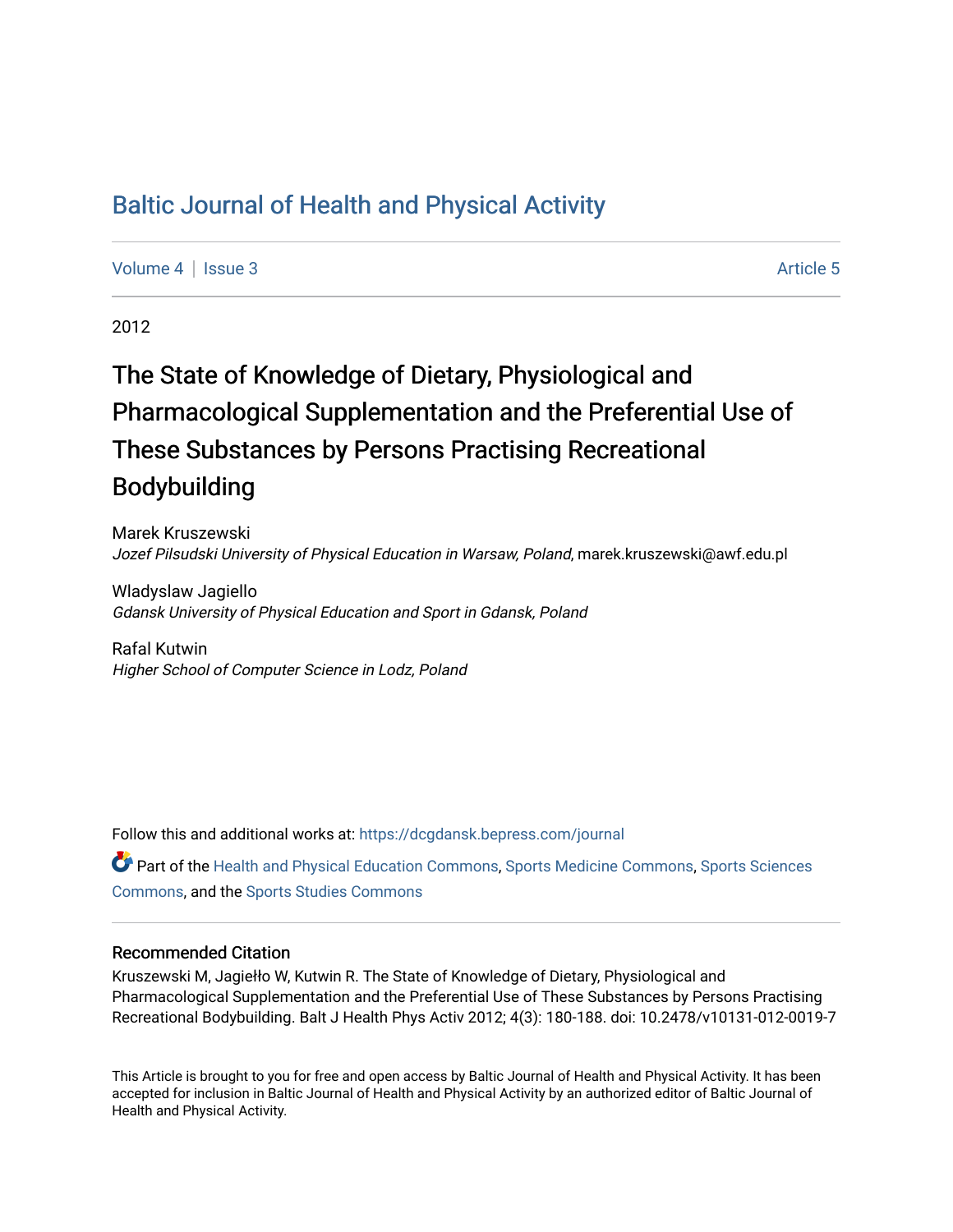# [Baltic Journal of Health and Physical Activity](https://dcgdansk.bepress.com/journal)

[Volume 4](https://dcgdansk.bepress.com/journal/vol4) | [Issue 3](https://dcgdansk.bepress.com/journal/vol4/iss3) Article 5

2012

# The State of Knowledge of Dietary, Physiological and Pharmacological Supplementation and the Preferential Use of These Substances by Persons Practising Recreational Bodybuilding

Marek Kruszewski Jozef Pilsudski University of Physical Education in Warsaw, Poland, marek.kruszewski@awf.edu.pl

Wladyslaw Jagiello Gdansk University of Physical Education and Sport in Gdansk, Poland

Rafal Kutwin Higher School of Computer Science in Lodz, Poland

Follow this and additional works at: [https://dcgdansk.bepress.com/journal](https://dcgdansk.bepress.com/journal?utm_source=dcgdansk.bepress.com%2Fjournal%2Fvol4%2Fiss3%2F5&utm_medium=PDF&utm_campaign=PDFCoverPages)

Part of the [Health and Physical Education Commons](http://network.bepress.com/hgg/discipline/1327?utm_source=dcgdansk.bepress.com%2Fjournal%2Fvol4%2Fiss3%2F5&utm_medium=PDF&utm_campaign=PDFCoverPages), [Sports Medicine Commons,](http://network.bepress.com/hgg/discipline/1331?utm_source=dcgdansk.bepress.com%2Fjournal%2Fvol4%2Fiss3%2F5&utm_medium=PDF&utm_campaign=PDFCoverPages) [Sports Sciences](http://network.bepress.com/hgg/discipline/759?utm_source=dcgdansk.bepress.com%2Fjournal%2Fvol4%2Fiss3%2F5&utm_medium=PDF&utm_campaign=PDFCoverPages) [Commons](http://network.bepress.com/hgg/discipline/759?utm_source=dcgdansk.bepress.com%2Fjournal%2Fvol4%2Fiss3%2F5&utm_medium=PDF&utm_campaign=PDFCoverPages), and the [Sports Studies Commons](http://network.bepress.com/hgg/discipline/1198?utm_source=dcgdansk.bepress.com%2Fjournal%2Fvol4%2Fiss3%2F5&utm_medium=PDF&utm_campaign=PDFCoverPages) 

#### Recommended Citation

Kruszewski M, Jagiełło W, Kutwin R. The State of Knowledge of Dietary, Physiological and Pharmacological Supplementation and the Preferential Use of These Substances by Persons Practising Recreational Bodybuilding. Balt J Health Phys Activ 2012; 4(3): 180-188. doi: 10.2478/v10131-012-0019-7

This Article is brought to you for free and open access by Baltic Journal of Health and Physical Activity. It has been accepted for inclusion in Baltic Journal of Health and Physical Activity by an authorized editor of Baltic Journal of Health and Physical Activity.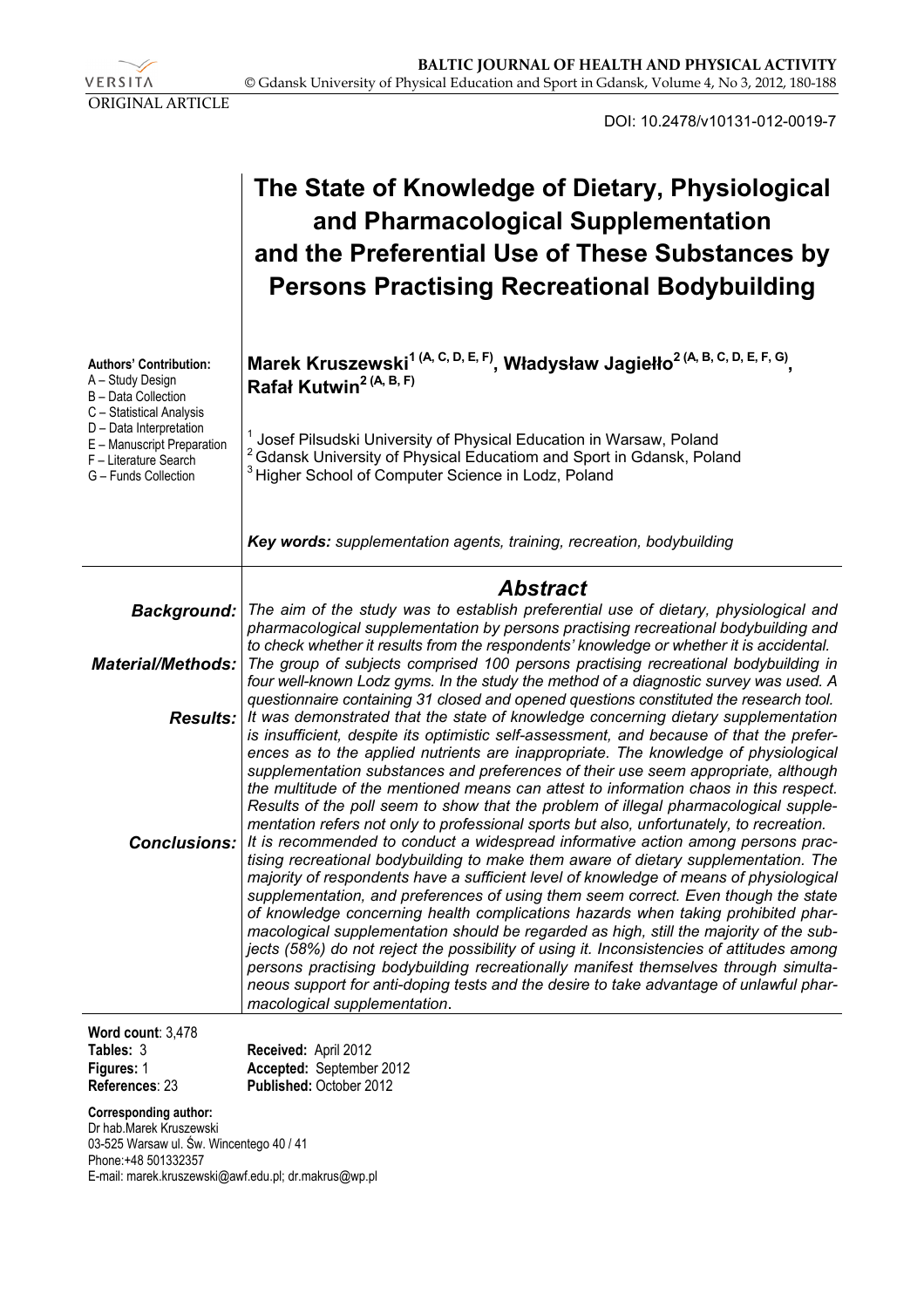VERSITA ORIGINAL ARTICLE

DOI: 10.2478/v10131-012-0019-7

|                                                                                                                                                                                                                | The State of Knowledge of Dietary, Physiological<br>and Pharmacological Supplementation<br>and the Preferential Use of These Substances by<br><b>Persons Practising Recreational Bodybuilding</b>                                                                                                                                                                                                                                                                                                                                                                                                                                                                                                                                                                                                                                                    |  |  |  |
|----------------------------------------------------------------------------------------------------------------------------------------------------------------------------------------------------------------|------------------------------------------------------------------------------------------------------------------------------------------------------------------------------------------------------------------------------------------------------------------------------------------------------------------------------------------------------------------------------------------------------------------------------------------------------------------------------------------------------------------------------------------------------------------------------------------------------------------------------------------------------------------------------------------------------------------------------------------------------------------------------------------------------------------------------------------------------|--|--|--|
| <b>Authors' Contribution:</b><br>A - Study Design<br>B - Data Collection<br>C - Statistical Analysis<br>D - Data Interpretation<br>E - Manuscript Preparation<br>F - Literature Search<br>G - Funds Collection | Marek Kruszewski <sup>1 (A, C, D, E, F)</sup> , Władysław Jagiełło <sup>2 (A, B, C, D, E, F, G)</sup> ,<br>Rafał Kutwin <sup>2 (A, B, F)</sup>                                                                                                                                                                                                                                                                                                                                                                                                                                                                                                                                                                                                                                                                                                       |  |  |  |
|                                                                                                                                                                                                                | <sup>1</sup> Josef Pilsudski University of Physical Education in Warsaw, Poland<br><sup>2</sup> Gdansk University of Physical Educatiom and Sport in Gdansk, Poland<br><sup>3</sup> Higher School of Computer Science in Lodz, Poland                                                                                                                                                                                                                                                                                                                                                                                                                                                                                                                                                                                                                |  |  |  |
|                                                                                                                                                                                                                | Key words: supplementation agents, training, recreation, bodybuilding                                                                                                                                                                                                                                                                                                                                                                                                                                                                                                                                                                                                                                                                                                                                                                                |  |  |  |
|                                                                                                                                                                                                                | <b>Abstract</b>                                                                                                                                                                                                                                                                                                                                                                                                                                                                                                                                                                                                                                                                                                                                                                                                                                      |  |  |  |
| Background:                                                                                                                                                                                                    | The aim of the study was to establish preferential use of dietary, physiological and                                                                                                                                                                                                                                                                                                                                                                                                                                                                                                                                                                                                                                                                                                                                                                 |  |  |  |
|                                                                                                                                                                                                                | pharmacological supplementation by persons practising recreational bodybuilding and<br>to check whether it results from the respondents' knowledge or whether it is accidental.                                                                                                                                                                                                                                                                                                                                                                                                                                                                                                                                                                                                                                                                      |  |  |  |
| <b>Material/Methods:</b>                                                                                                                                                                                       | The group of subjects comprised 100 persons practising recreational bodybuilding in<br>four well-known Lodz gyms. In the study the method of a diagnostic survey was used. A<br>questionnaire containing 31 closed and opened questions constituted the research tool.                                                                                                                                                                                                                                                                                                                                                                                                                                                                                                                                                                               |  |  |  |
| <b>Results:</b>                                                                                                                                                                                                | It was demonstrated that the state of knowledge concerning dietary supplementation<br>is insufficient, despite its optimistic self-assessment, and because of that the prefer-<br>ences as to the applied nutrients are inappropriate. The knowledge of physiological<br>supplementation substances and preferences of their use seem appropriate, although<br>the multitude of the mentioned means can attest to information chaos in this respect.<br>Results of the poll seem to show that the problem of illegal pharmacological supple-<br>mentation refers not only to professional sports but also, unfortunately, to recreation.                                                                                                                                                                                                             |  |  |  |
| <b>Conclusions:</b>                                                                                                                                                                                            | It is recommended to conduct a widespread informative action among persons prac-<br>tising recreational bodybuilding to make them aware of dietary supplementation. The<br>majority of respondents have a sufficient level of knowledge of means of physiological<br>supplementation, and preferences of using them seem correct. Even though the state<br>of knowledge concerning health complications hazards when taking prohibited phar-<br>macological supplementation should be regarded as high, still the majority of the sub-<br>jects (58%) do not reject the possibility of using it. Inconsistencies of attitudes among<br>persons practising bodybuilding recreationally manifest themselves through simulta-<br>neous support for anti-doping tests and the desire to take advantage of unlawful phar-<br>macological supplementation. |  |  |  |
| Word count: 3,478                                                                                                                                                                                              |                                                                                                                                                                                                                                                                                                                                                                                                                                                                                                                                                                                                                                                                                                                                                                                                                                                      |  |  |  |
| Tables: 3                                                                                                                                                                                                      | Received: April 2012                                                                                                                                                                                                                                                                                                                                                                                                                                                                                                                                                                                                                                                                                                                                                                                                                                 |  |  |  |

**Figures:** 1 **References**: 23

**Accepted:** September 2012 **Published:** October 2012

#### **Corresponding author:**

Dr hab.Marek Kruszewski 03-525 Warsaw ul. Św. Wincentego 40 / 41 Phone:+48 501332357 E-mail: marek.kruszewski@awf.edu.pl; dr.makrus@wp.pl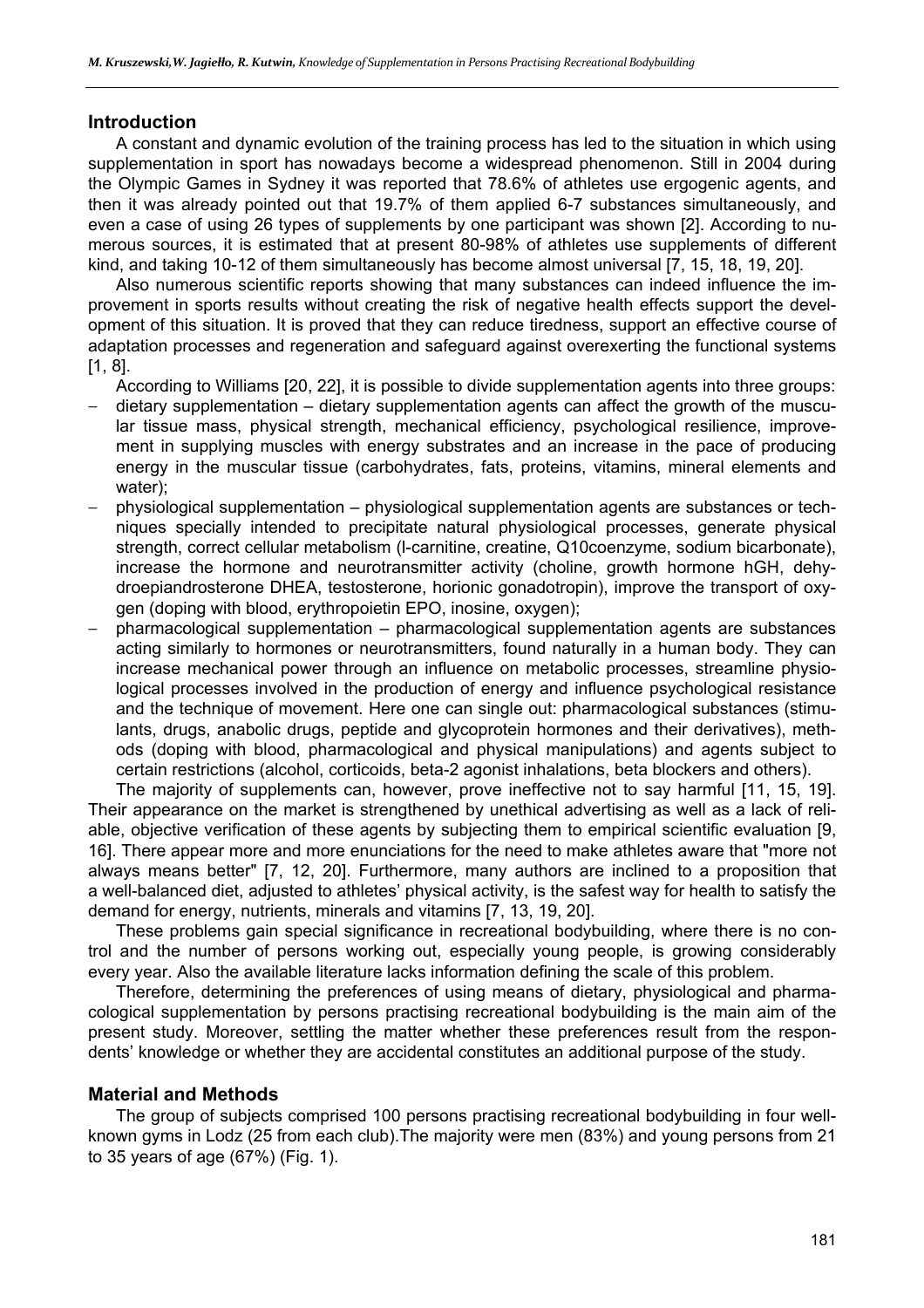## **Introduction**

A constant and dynamic evolution of the training process has led to the situation in which using supplementation in sport has nowadays become a widespread phenomenon. Still in 2004 during the Olympic Games in Sydney it was reported that 78.6% of athletes use ergogenic agents, and then it was already pointed out that 19.7% of them applied 6-7 substances simultaneously, and even a case of using 26 types of supplements by one participant was shown [2]. According to numerous sources, it is estimated that at present 80-98% of athletes use supplements of different kind, and taking 10-12 of them simultaneously has become almost universal [7, 15, 18, 19, 20].

Also numerous scientific reports showing that many substances can indeed influence the improvement in sports results without creating the risk of negative health effects support the development of this situation. It is proved that they can reduce tiredness, support an effective course of adaptation processes and regeneration and safeguard against overexerting the functional systems [1, 8].

According to Williams [20, 22], it is possible to divide supplementation agents into three groups:

- − dietary supplementation dietary supplementation agents can affect the growth of the muscular tissue mass, physical strength, mechanical efficiency, psychological resilience, improvement in supplying muscles with energy substrates and an increase in the pace of producing energy in the muscular tissue (carbohydrates, fats, proteins, vitamins, mineral elements and water);
- − physiological supplementation physiological supplementation agents are substances or techniques specially intended to precipitate natural physiological processes, generate physical strength, correct cellular metabolism (l-carnitine, creatine, Q10coenzyme, sodium bicarbonate), increase the hormone and neurotransmitter activity (choline, growth hormone hGH, dehydroepiandrosterone DHEA, testosterone, horionic gonadotropin), improve the transport of oxygen (doping with blood, erythropoietin EPO, inosine, oxygen);
- − pharmacological supplementation pharmacological supplementation agents are substances acting similarly to hormones or neurotransmitters, found naturally in a human body. They can increase mechanical power through an influence on metabolic processes, streamline physiological processes involved in the production of energy and influence psychological resistance and the technique of movement. Here one can single out: pharmacological substances (stimulants, drugs, anabolic drugs, peptide and glycoprotein hormones and their derivatives), methods (doping with blood, pharmacological and physical manipulations) and agents subject to certain restrictions (alcohol, corticoids, beta-2 agonist inhalations, beta blockers and others).

The majority of supplements can, however, prove ineffective not to say harmful [11, 15, 19]. Their appearance on the market is strengthened by unethical advertising as well as a lack of reliable, objective verification of these agents by subjecting them to empirical scientific evaluation [9, 16]. There appear more and more enunciations for the need to make athletes aware that "more not always means better" [7, 12, 20]. Furthermore, many authors are inclined to a proposition that a well-balanced diet, adjusted to athletes' physical activity, is the safest way for health to satisfy the demand for energy, nutrients, minerals and vitamins [7, 13, 19, 20].

These problems gain special significance in recreational bodybuilding, where there is no control and the number of persons working out, especially young people, is growing considerably every year. Also the available literature lacks information defining the scale of this problem.

Therefore, determining the preferences of using means of dietary, physiological and pharmacological supplementation by persons practising recreational bodybuilding is the main aim of the present study. Moreover, settling the matter whether these preferences result from the respondents' knowledge or whether they are accidental constitutes an additional purpose of the study.

#### **Material and Methods**

The group of subjects comprised 100 persons practising recreational bodybuilding in four wellknown gyms in Lodz (25 from each club).The majority were men (83%) and young persons from 21 to 35 years of age (67%) (Fig. 1).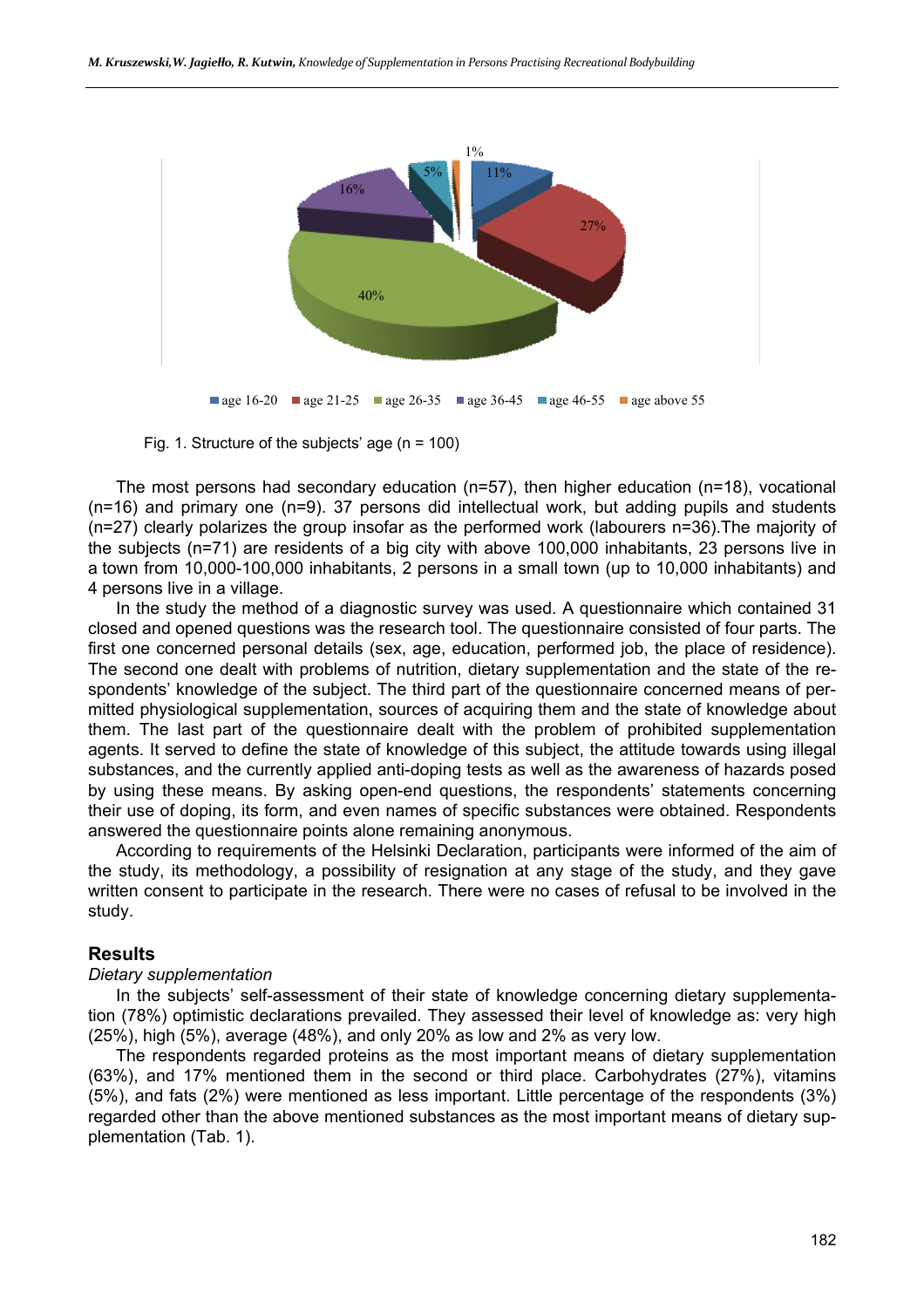

Fig. 1. Structure of the subjects' age (n = 100)

The most persons had secondary education ( $n=57$ ), then higher education ( $n=18$ ), vocational (n=16) and primary one (n=9). 37 persons did intellectual work, but adding pupils and students (n=27) clearly polarizes the group insofar as the performed work (labourers n=36).The majority of the subjects (n=71) are residents of a big city with above 100,000 inhabitants, 23 persons live in a town from 10,000-100,000 inhabitants, 2 persons in a small town (up to 10,000 inhabitants) and 4 persons live in a village.

In the study the method of a diagnostic survey was used. A questionnaire which contained 31 closed and opened questions was the research tool. The questionnaire consisted of four parts. The first one concerned personal details (sex, age, education, performed job, the place of residence). The second one dealt with problems of nutrition, dietary supplementation and the state of the respondents' knowledge of the subject. The third part of the questionnaire concerned means of permitted physiological supplementation, sources of acquiring them and the state of knowledge about them. The last part of the questionnaire dealt with the problem of prohibited supplementation agents. It served to define the state of knowledge of this subject, the attitude towards using illegal substances, and the currently applied anti-doping tests as well as the awareness of hazards posed by using these means. By asking open-end questions, the respondents' statements concerning their use of doping, its form, and even names of specific substances were obtained. Respondents answered the questionnaire points alone remaining anonymous.

According to requirements of the Helsinki Declaration, participants were informed of the aim of the study, its methodology, a possibility of resignation at any stage of the study, and they gave written consent to participate in the research. There were no cases of refusal to be involved in the study.

#### **Results**

#### *Dietary supplementation*

In the subjects' self-assessment of their state of knowledge concerning dietary supplementation (78%) optimistic declarations prevailed. They assessed their level of knowledge as: very high (25%), high (5%), average (48%), and only 20% as low and 2% as very low.

The respondents regarded proteins as the most important means of dietary supplementation (63%), and 17% mentioned them in the second or third place. Carbohydrates (27%), vitamins (5%), and fats (2%) were mentioned as less important. Little percentage of the respondents (3%) regarded other than the above mentioned substances as the most important means of dietary supplementation (Tab. 1).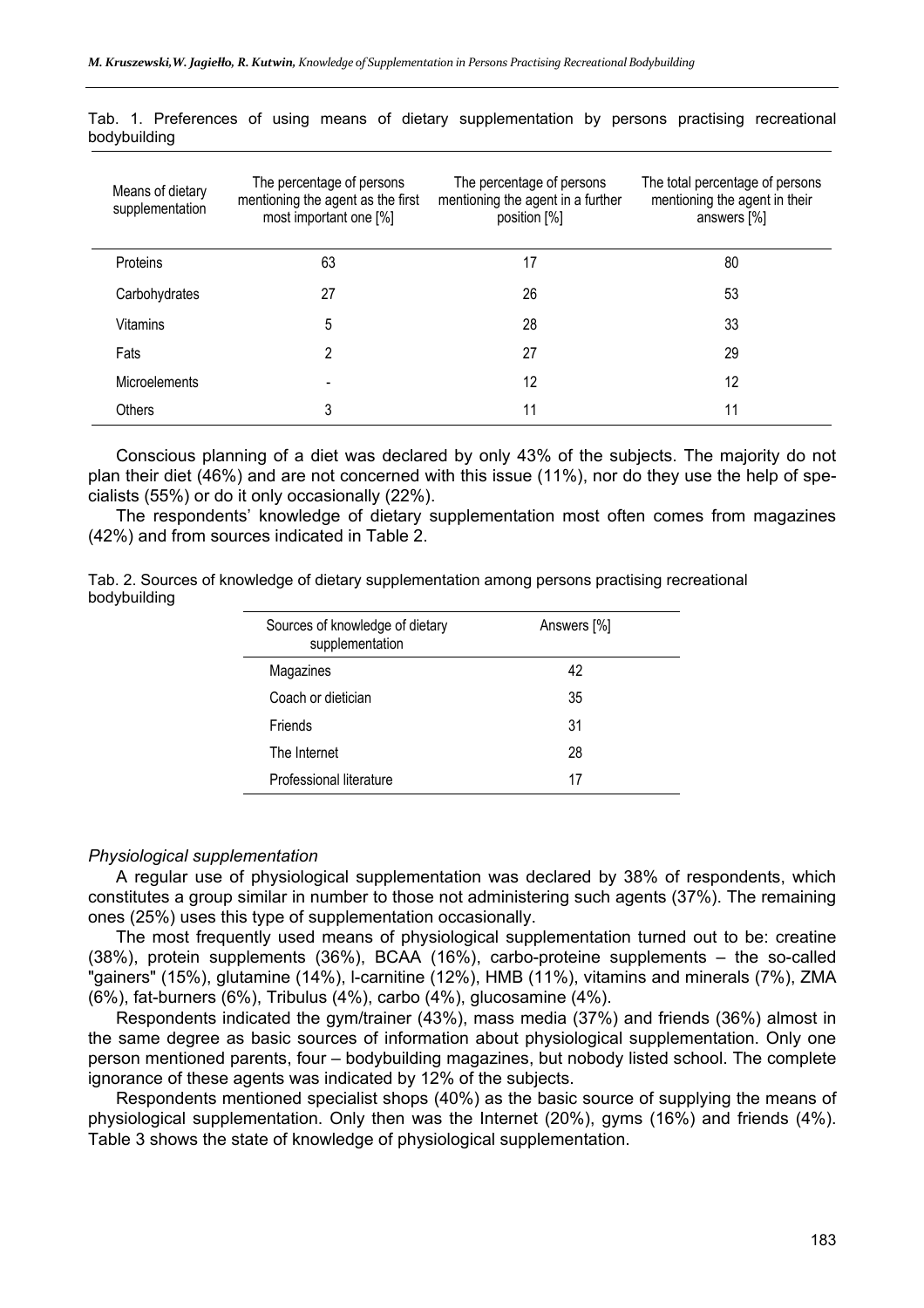| Means of dietary<br>supplementation | The percentage of persons<br>mentioning the agent as the first<br>most important one [%] | The percentage of persons<br>mentioning the agent in a further<br>position [%] | The total percentage of persons<br>mentioning the agent in their<br>answers $[\%]$ |
|-------------------------------------|------------------------------------------------------------------------------------------|--------------------------------------------------------------------------------|------------------------------------------------------------------------------------|
| Proteins                            | 63                                                                                       | 17                                                                             | 80                                                                                 |
| Carbohydrates                       | 27                                                                                       | 26                                                                             | 53                                                                                 |
| Vitamins                            | 5                                                                                        | 28                                                                             | 33                                                                                 |
| Fats                                | 2                                                                                        | 27                                                                             | 29                                                                                 |
| Microelements                       |                                                                                          | 12                                                                             | 12                                                                                 |
| <b>Others</b>                       | 3                                                                                        | 11                                                                             | 11                                                                                 |

Tab. 1. Preferences of using means of dietary supplementation by persons practising recreational bodybuilding

Conscious planning of a diet was declared by only 43% of the subjects. The majority do not plan their diet (46%) and are not concerned with this issue (11%), nor do they use the help of specialists (55%) or do it only occasionally (22%).

The respondents' knowledge of dietary supplementation most often comes from magazines (42%) and from sources indicated in Table 2.

Tab. 2. Sources of knowledge of dietary supplementation among persons practising recreational bodybuilding

| Sources of knowledge of dietary<br>supplementation | Answers [%] |
|----------------------------------------------------|-------------|
| Magazines                                          | 42          |
| Coach or dietician                                 | 35          |
| Friends                                            | 31          |
| The Internet                                       | 28          |
| Professional literature                            | 17          |

#### *Physiological supplementation*

A regular use of physiological supplementation was declared by 38% of respondents, which constitutes a group similar in number to those not administering such agents (37%). The remaining ones (25%) uses this type of supplementation occasionally.

The most frequently used means of physiological supplementation turned out to be: creatine (38%), protein supplements (36%), BCAA (16%), carbo-proteine supplements – the so-called "gainers" (15%), glutamine (14%), l-carnitine (12%), HMB (11%), vitamins and minerals (7%), ZMA (6%), fat-burners (6%), Tribulus (4%), carbo (4%), glucosamine (4%).

Respondents indicated the gym/trainer (43%), mass media (37%) and friends (36%) almost in the same degree as basic sources of information about physiological supplementation. Only one person mentioned parents, four – bodybuilding magazines, but nobody listed school. The complete ignorance of these agents was indicated by 12% of the subjects.

Respondents mentioned specialist shops (40%) as the basic source of supplying the means of physiological supplementation. Only then was the Internet (20%), gyms (16%) and friends (4%). Table 3 shows the state of knowledge of physiological supplementation.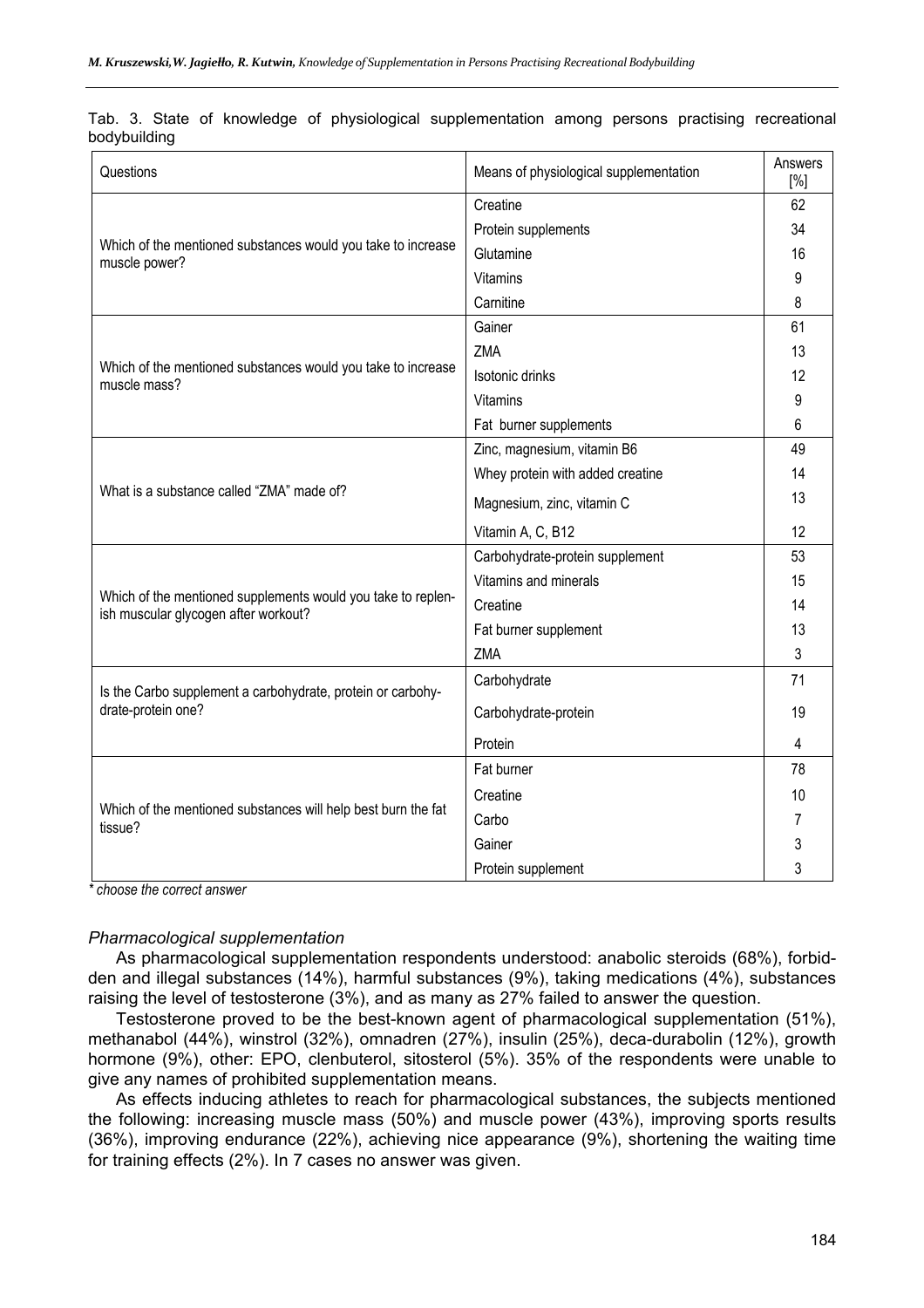| Questions                                                                                            | Means of physiological supplementation | Answers<br>[%] |
|------------------------------------------------------------------------------------------------------|----------------------------------------|----------------|
|                                                                                                      | Creatine                               | 62             |
|                                                                                                      | Protein supplements                    | 34             |
| Which of the mentioned substances would you take to increase<br>muscle power?                        | Glutamine                              | 16             |
|                                                                                                      | Vitamins                               | 9              |
|                                                                                                      | Carnitine                              | 8              |
|                                                                                                      | Gainer                                 | 61             |
|                                                                                                      | ZMA                                    | 13             |
| Which of the mentioned substances would you take to increase<br>muscle mass?                         | Isotonic drinks                        | 12             |
|                                                                                                      | Vitamins                               | 9              |
|                                                                                                      | Fat burner supplements                 | 6              |
|                                                                                                      | Zinc, magnesium, vitamin B6            | 49             |
|                                                                                                      | Whey protein with added creatine       | 14             |
| What is a substance called "ZMA" made of?                                                            | Magnesium, zinc, vitamin C             | 13             |
|                                                                                                      | Vitamin A, C, B12                      | 12             |
|                                                                                                      | Carbohydrate-protein supplement        | 53             |
|                                                                                                      | Vitamins and minerals                  | 15             |
| Which of the mentioned supplements would you take to replen-<br>ish muscular glycogen after workout? | Creatine                               | 14             |
|                                                                                                      | Fat burner supplement                  | 13             |
|                                                                                                      | ZMA                                    | 3              |
| Is the Carbo supplement a carbohydrate, protein or carbohy-                                          | Carbohydrate                           | 71             |
| drate-protein one?                                                                                   | Carbohydrate-protein                   | 19             |
|                                                                                                      | Protein                                | 4              |
|                                                                                                      | Fat burner                             | 78             |
|                                                                                                      | Creatine                               | 10             |
| Which of the mentioned substances will help best burn the fat<br>tissue?                             | Carbo                                  | 7              |
|                                                                                                      | Gainer                                 | 3              |
|                                                                                                      | Protein supplement                     | 3              |

Tab. 3. State of knowledge of physiological supplementation among persons practising recreational bodybuilding

*\* choose the correct answer* 

#### *Pharmacological supplementation*

As pharmacological supplementation respondents understood: anabolic steroids (68%), forbidden and illegal substances (14%), harmful substances (9%), taking medications (4%), substances raising the level of testosterone (3%), and as many as 27% failed to answer the question.

Testosterone proved to be the best-known agent of pharmacological supplementation (51%), methanabol (44%), winstrol (32%), omnadren (27%), insulin (25%), deca-durabolin (12%), growth hormone (9%), other: EPO, clenbuterol, sitosterol (5%). 35% of the respondents were unable to give any names of prohibited supplementation means.

As effects inducing athletes to reach for pharmacological substances, the subjects mentioned the following: increasing muscle mass (50%) and muscle power (43%), improving sports results (36%), improving endurance (22%), achieving nice appearance (9%), shortening the waiting time for training effects (2%). In 7 cases no answer was given.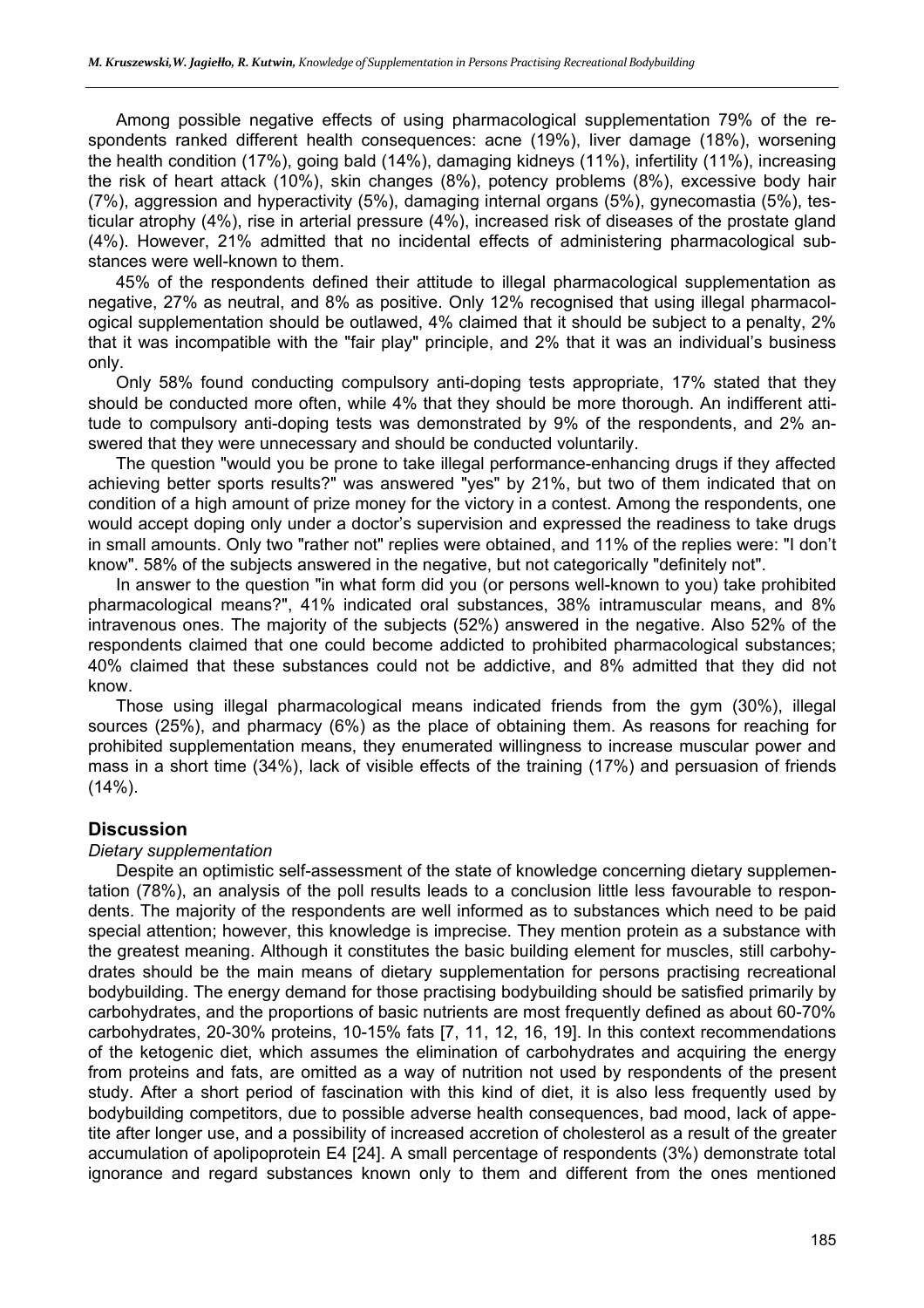Among possible negative effects of using pharmacological supplementation 79% of the respondents ranked different health consequences: acne (19%), liver damage (18%), worsening the health condition (17%), going bald (14%), damaging kidneys (11%), infertility (11%), increasing the risk of heart attack (10%), skin changes (8%), potency problems (8%), excessive body hair (7%), aggression and hyperactivity (5%), damaging internal organs (5%), gynecomastia (5%), testicular atrophy (4%), rise in arterial pressure (4%), increased risk of diseases of the prostate gland (4%). However, 21% admitted that no incidental effects of administering pharmacological substances were well-known to them.

45% of the respondents defined their attitude to illegal pharmacological supplementation as negative, 27% as neutral, and 8% as positive. Only 12% recognised that using illegal pharmacological supplementation should be outlawed, 4% claimed that it should be subject to a penalty, 2% that it was incompatible with the "fair play" principle, and 2% that it was an individual's business only.

Only 58% found conducting compulsory anti-doping tests appropriate, 17% stated that they should be conducted more often, while 4% that they should be more thorough. An indifferent attitude to compulsory anti-doping tests was demonstrated by 9% of the respondents, and 2% answered that they were unnecessary and should be conducted voluntarily.

The question "would you be prone to take illegal performance-enhancing drugs if they affected achieving better sports results?" was answered "yes" by 21%, but two of them indicated that on condition of a high amount of prize money for the victory in a contest. Among the respondents, one would accept doping only under a doctor's supervision and expressed the readiness to take drugs in small amounts. Only two "rather not" replies were obtained, and 11% of the replies were: "I don't know". 58% of the subjects answered in the negative, but not categorically "definitely not".

In answer to the question "in what form did you (or persons well-known to you) take prohibited pharmacological means?", 41% indicated oral substances, 38% intramuscular means, and 8% intravenous ones. The majority of the subjects (52%) answered in the negative. Also 52% of the respondents claimed that one could become addicted to prohibited pharmacological substances; 40% claimed that these substances could not be addictive, and 8% admitted that they did not know.

Those using illegal pharmacological means indicated friends from the gym (30%), illegal sources (25%), and pharmacy (6%) as the place of obtaining them. As reasons for reaching for prohibited supplementation means, they enumerated willingness to increase muscular power and mass in a short time (34%), lack of visible effects of the training (17%) and persuasion of friends  $(14\%)$ .

## **Discussion**

#### *Dietary supplementation*

Despite an optimistic self-assessment of the state of knowledge concerning dietary supplementation (78%), an analysis of the poll results leads to a conclusion little less favourable to respondents. The majority of the respondents are well informed as to substances which need to be paid special attention; however, this knowledge is imprecise. They mention protein as a substance with the greatest meaning. Although it constitutes the basic building element for muscles, still carbohydrates should be the main means of dietary supplementation for persons practising recreational bodybuilding. The energy demand for those practising bodybuilding should be satisfied primarily by carbohydrates, and the proportions of basic nutrients are most frequently defined as about 60-70% carbohydrates, 20-30% proteins, 10-15% fats [7, 11, 12, 16, 19]. In this context recommendations of the ketogenic diet, which assumes the elimination of carbohydrates and acquiring the energy from proteins and fats, are omitted as a way of nutrition not used by respondents of the present study. After a short period of fascination with this kind of diet, it is also less frequently used by bodybuilding competitors, due to possible adverse health consequences, bad mood, lack of appetite after longer use, and a possibility of increased accretion of cholesterol as a result of the greater accumulation of apolipoprotein E4 [24]. A small percentage of respondents (3%) demonstrate total ignorance and regard substances known only to them and different from the ones mentioned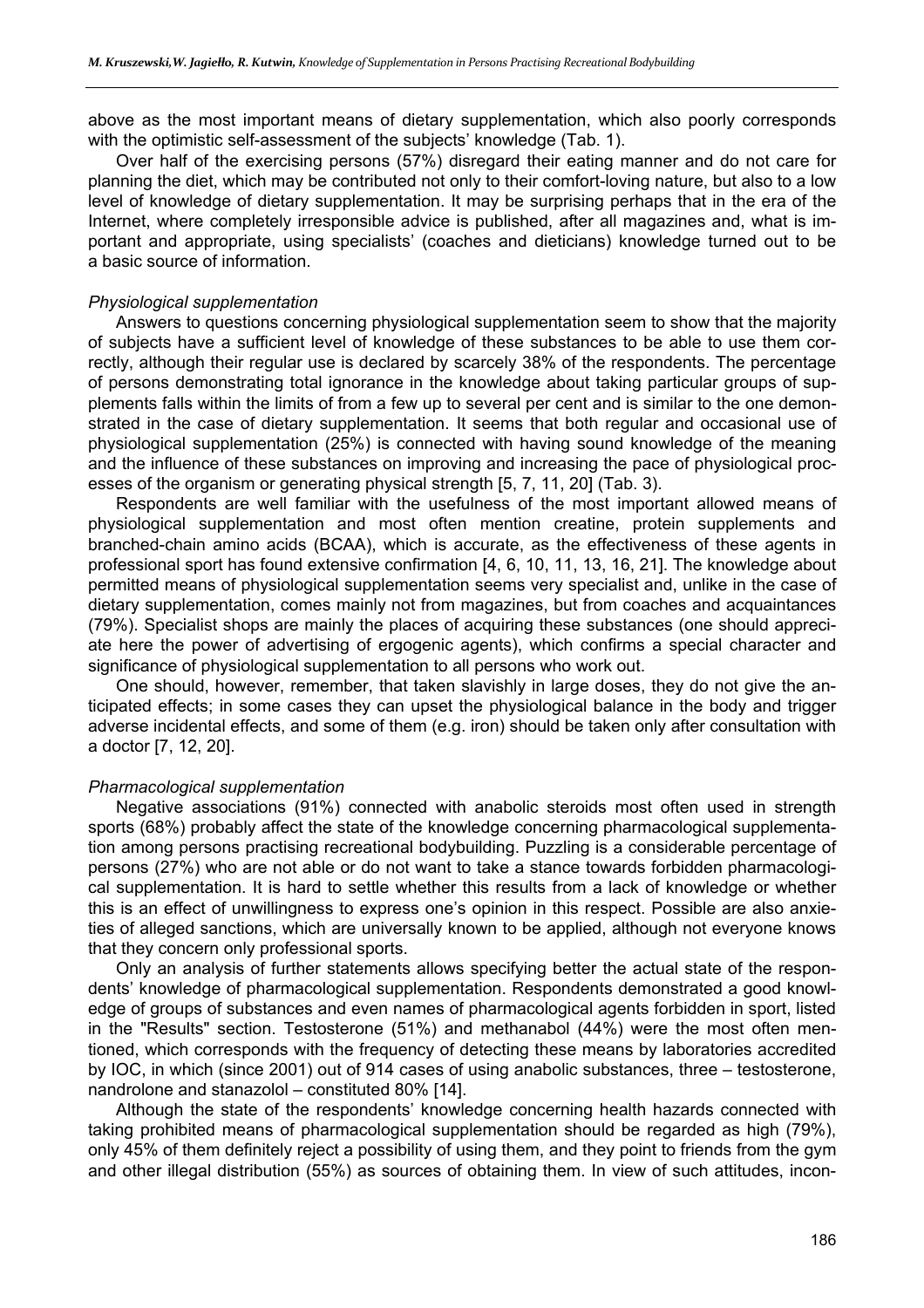above as the most important means of dietary supplementation, which also poorly corresponds with the optimistic self-assessment of the subjects' knowledge (Tab. 1).

Over half of the exercising persons (57%) disregard their eating manner and do not care for planning the diet, which may be contributed not only to their comfort-loving nature, but also to a low level of knowledge of dietary supplementation. It may be surprising perhaps that in the era of the Internet, where completely irresponsible advice is published, after all magazines and, what is important and appropriate, using specialists' (coaches and dieticians) knowledge turned out to be a basic source of information.

#### *Physiological supplementation*

Answers to questions concerning physiological supplementation seem to show that the majority of subjects have a sufficient level of knowledge of these substances to be able to use them correctly, although their regular use is declared by scarcely 38% of the respondents. The percentage of persons demonstrating total ignorance in the knowledge about taking particular groups of supplements falls within the limits of from a few up to several per cent and is similar to the one demonstrated in the case of dietary supplementation. It seems that both regular and occasional use of physiological supplementation (25%) is connected with having sound knowledge of the meaning and the influence of these substances on improving and increasing the pace of physiological processes of the organism or generating physical strength [5, 7, 11, 20] (Tab. 3).

Respondents are well familiar with the usefulness of the most important allowed means of physiological supplementation and most often mention creatine, protein supplements and branched-chain amino acids (BCAA), which is accurate, as the effectiveness of these agents in professional sport has found extensive confirmation [4, 6, 10, 11, 13, 16, 21]. The knowledge about permitted means of physiological supplementation seems very specialist and, unlike in the case of dietary supplementation, comes mainly not from magazines, but from coaches and acquaintances (79%). Specialist shops are mainly the places of acquiring these substances (one should appreciate here the power of advertising of ergogenic agents), which confirms a special character and significance of physiological supplementation to all persons who work out.

One should, however, remember, that taken slavishly in large doses, they do not give the anticipated effects; in some cases they can upset the physiological balance in the body and trigger adverse incidental effects, and some of them (e.g. iron) should be taken only after consultation with a doctor [7, 12, 20].

#### *Pharmacological supplementation*

Negative associations (91%) connected with anabolic steroids most often used in strength sports (68%) probably affect the state of the knowledge concerning pharmacological supplementation among persons practising recreational bodybuilding. Puzzling is a considerable percentage of persons (27%) who are not able or do not want to take a stance towards forbidden pharmacological supplementation. It is hard to settle whether this results from a lack of knowledge or whether this is an effect of unwillingness to express one's opinion in this respect. Possible are also anxieties of alleged sanctions, which are universally known to be applied, although not everyone knows that they concern only professional sports.

Only an analysis of further statements allows specifying better the actual state of the respondents' knowledge of pharmacological supplementation. Respondents demonstrated a good knowledge of groups of substances and even names of pharmacological agents forbidden in sport, listed in the "Results" section. Testosterone (51%) and methanabol (44%) were the most often mentioned, which corresponds with the frequency of detecting these means by laboratories accredited by IOC, in which (since 2001) out of 914 cases of using anabolic substances, three – testosterone, nandrolone and stanazolol – constituted 80% [14].

Although the state of the respondents' knowledge concerning health hazards connected with taking prohibited means of pharmacological supplementation should be regarded as high (79%), only 45% of them definitely reject a possibility of using them, and they point to friends from the gym and other illegal distribution (55%) as sources of obtaining them. In view of such attitudes, incon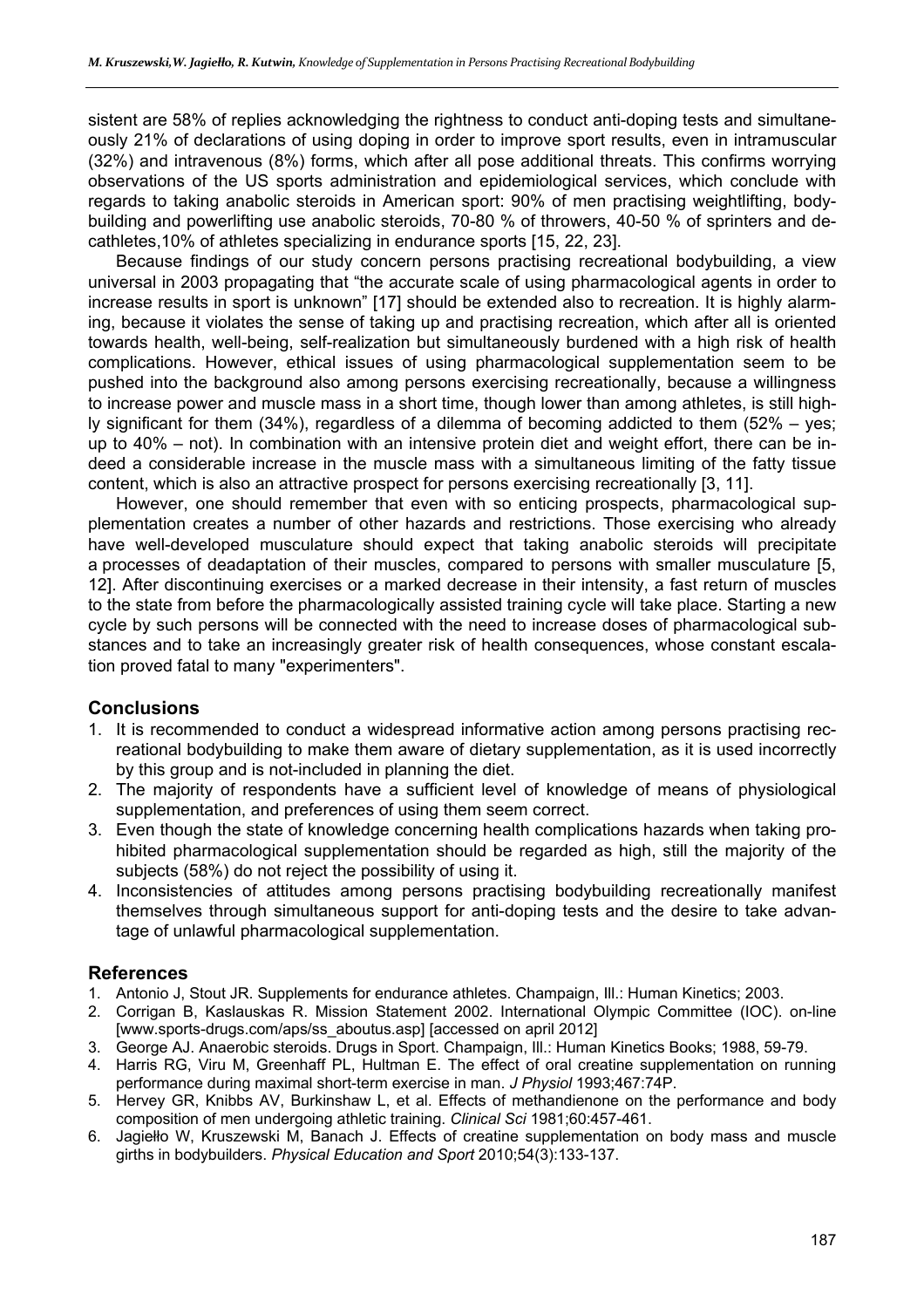sistent are 58% of replies acknowledging the rightness to conduct anti-doping tests and simultaneously 21% of declarations of using doping in order to improve sport results, even in intramuscular (32%) and intravenous (8%) forms, which after all pose additional threats. This confirms worrying observations of the US sports administration and epidemiological services, which conclude with regards to taking anabolic steroids in American sport: 90% of men practising weightlifting, bodybuilding and powerlifting use anabolic steroids, 70-80 % of throwers, 40-50 % of sprinters and decathletes,10% of athletes specializing in endurance sports [15, 22, 23].

Because findings of our study concern persons practising recreational bodybuilding, a view universal in 2003 propagating that "the accurate scale of using pharmacological agents in order to increase results in sport is unknown" [17] should be extended also to recreation. It is highly alarming, because it violates the sense of taking up and practising recreation, which after all is oriented towards health, well-being, self-realization but simultaneously burdened with a high risk of health complications. However, ethical issues of using pharmacological supplementation seem to be pushed into the background also among persons exercising recreationally, because a willingness to increase power and muscle mass in a short time, though lower than among athletes, is still highly significant for them (34%), regardless of a dilemma of becoming addicted to them (52% – yes; up to 40% – not). In combination with an intensive protein diet and weight effort, there can be indeed a considerable increase in the muscle mass with a simultaneous limiting of the fatty tissue content, which is also an attractive prospect for persons exercising recreationally [3, 11].

However, one should remember that even with so enticing prospects, pharmacological supplementation creates a number of other hazards and restrictions. Those exercising who already have well-developed musculature should expect that taking anabolic steroids will precipitate a processes of deadaptation of their muscles, compared to persons with smaller musculature [5, 12]. After discontinuing exercises or a marked decrease in their intensity, a fast return of muscles to the state from before the pharmacologically assisted training cycle will take place. Starting a new cycle by such persons will be connected with the need to increase doses of pharmacological substances and to take an increasingly greater risk of health consequences, whose constant escalation proved fatal to many "experimenters".

# **Conclusions**

- 1. It is recommended to conduct a widespread informative action among persons practising recreational bodybuilding to make them aware of dietary supplementation, as it is used incorrectly by this group and is not-included in planning the diet.
- 2. The majority of respondents have a sufficient level of knowledge of means of physiological supplementation, and preferences of using them seem correct.
- 3. Even though the state of knowledge concerning health complications hazards when taking prohibited pharmacological supplementation should be regarded as high, still the majority of the subjects (58%) do not reject the possibility of using it.
- 4. Inconsistencies of attitudes among persons practising bodybuilding recreationally manifest themselves through simultaneous support for anti-doping tests and the desire to take advantage of unlawful pharmacological supplementation.

# **References**

- 1. Antonio J, Stout JR. Supplements for endurance athletes. Champaign, Ill.: Human Kinetics; 2003.
- 2. Corrigan B, Kaslauskas R. Mission Statement 2002. International Olympic Committee (IOC). on-line [www.sports-drugs.com/aps/ss\_aboutus.asp] [accessed on april 2012]
- 3. George AJ. Anaerobic steroids. Drugs in Sport. Champaign, Ill.: Human Kinetics Books; 1988, 59-79.
- 4. Harris RG, Viru M, Greenhaff PL, Hultman E. The effect of oral creatine supplementation on running performance during maximal short-term exercise in man. *J Physiol* 1993;467:74P.
- 5. Hervey GR, Knibbs AV, Burkinshaw L, et al. Effects of methandienone on the performance and body composition of men undergoing athletic training. *Clinical Sci* 1981;60:457-461.
- 6. Jagiełło W, Kruszewski M, Banach J. Effects of creatine supplementation on body mass and muscle girths in bodybuilders. *Physical Education and Sport* 2010;54(3):133-137.